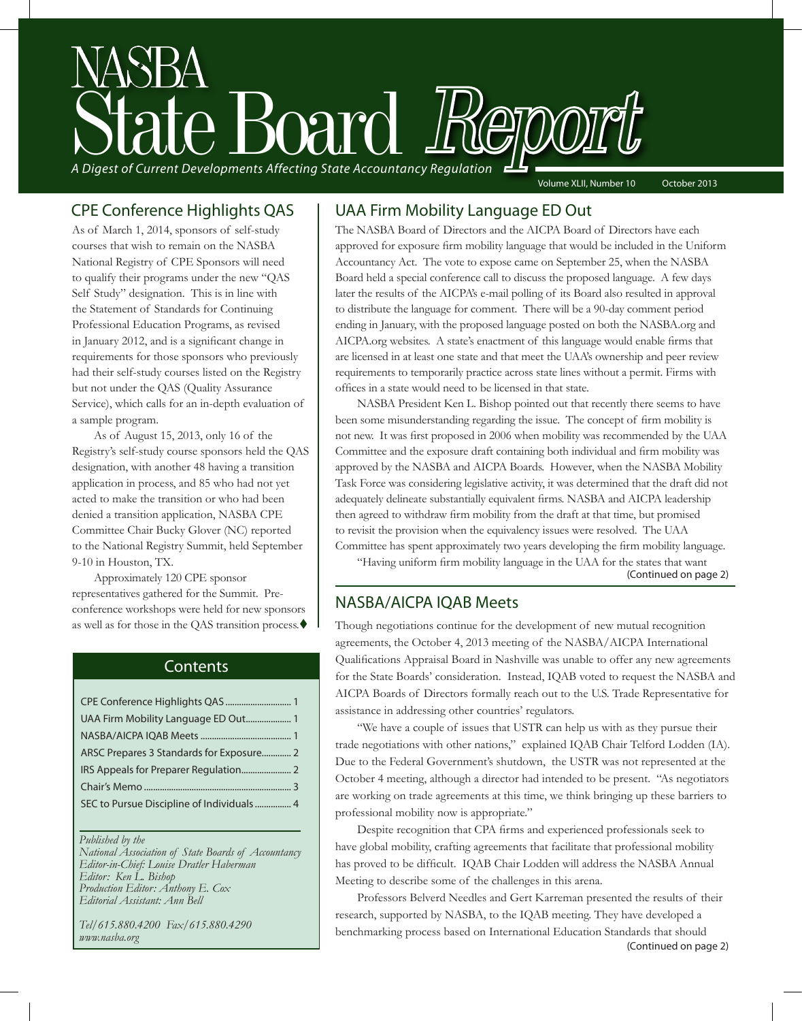

As of March 1, 2014, sponsors of self-study courses that wish to remain on the NASBA National Registry of CPE Sponsors will need to qualify their programs under the new "QAS Self Study" designation. This is in line with the Statement of Standards for Continuing Professional Education Programs, as revised in January 2012, and is a significant change in requirements for those sponsors who previously had their self-study courses listed on the Registry but not under the QAS (Quality Assurance Service), which calls for an in-depth evaluation of a sample program.

As of August 15, 2013, only 16 of the Registry's self-study course sponsors held the QAS designation, with another 48 having a transition application in process, and 85 who had not yet acted to make the transition or who had been denied a transition application, NASBA CPE Committee Chair Bucky Glover (NC) reported to the National Registry Summit, held September 9-10 in Houston, TX.

Approximately 120 CPE sponsor representatives gathered for the Summit. Preconference workshops were held for new sponsors as well as for those in the QAS transition process. $\blacklozenge$ 

#### **Contents**

| UAA Firm Mobility Language ED Out 1       |  |
|-------------------------------------------|--|
|                                           |  |
|                                           |  |
|                                           |  |
|                                           |  |
| SEC to Pursue Discipline of Individuals 4 |  |
|                                           |  |

#### *Published by the*

*National Association of State Boards of Accountancy Editor-in-Chief: Louise Dratler Haberman Editor: Ken L. Bishop Production Editor: Anthony E. Cox Editorial Assistant: Ann Bell* 

*Tel/615.880.4200 Fax/615.880.4290 www.nasba.org*

#### CPE Conference Highlights QAS | UAA Firm Mobility Language ED Out

The NASBA Board of Directors and the AICPA Board of Directors have each approved for exposure firm mobility language that would be included in the Uniform Accountancy Act. The vote to expose came on September 25, when the NASBA Board held a special conference call to discuss the proposed language. A few days later the results of the AICPA's e-mail polling of its Board also resulted in approval to distribute the language for comment. There will be a 90-day comment period ending in January, with the proposed language posted on both the NASBA.org and AICPA.org websites. A state's enactment of this language would enable firms that are licensed in at least one state and that meet the UAA's ownership and peer review requirements to temporarily practice across state lines without a permit. Firms with offices in a state would need to be licensed in that state.

NASBA President Ken L. Bishop pointed out that recently there seems to have been some misunderstanding regarding the issue. The concept of firm mobility is not new. It was first proposed in 2006 when mobility was recommended by the UAA Committee and the exposure draft containing both individual and firm mobility was approved by the NASBA and AICPA Boards. However, when the NASBA Mobility Task Force was considering legislative activity, it was determined that the draft did not adequately delineate substantially equivalent firms. NASBA and AICPA leadership then agreed to withdraw firm mobility from the draft at that time, but promised to revisit the provision when the equivalency issues were resolved. The UAA Committee has spent approximately two years developing the firm mobility language.

"Having uniform firm mobility language in the UAA for the states that want (Continued on page 2)

### NASBA/AICPA IQAB Meets

Though negotiations continue for the development of new mutual recognition agreements, the October 4, 2013 meeting of the NASBA/AICPA International Qualifications Appraisal Board in Nashville was unable to offer any new agreements for the State Boards' consideration. Instead, IQAB voted to request the NASBA and AICPA Boards of Directors formally reach out to the U.S. Trade Representative for assistance in addressing other countries' regulators.

"We have a couple of issues that USTR can help us with as they pursue their trade negotiations with other nations," explained IQAB Chair Telford Lodden (IA). Due to the Federal Government's shutdown, the USTR was not represented at the October 4 meeting, although a director had intended to be present. "As negotiators are working on trade agreements at this time, we think bringing up these barriers to professional mobility now is appropriate."

Despite recognition that CPA firms and experienced professionals seek to have global mobility, crafting agreements that facilitate that professional mobility has proved to be difficult. IQAB Chair Lodden will address the NASBA Annual Meeting to describe some of the challenges in this arena.

Professors Belverd Needles and Gert Karreman presented the results of their research, supported by NASBA, to the IQAB meeting. They have developed a benchmarking process based on International Education Standards that should (Continued on page 2)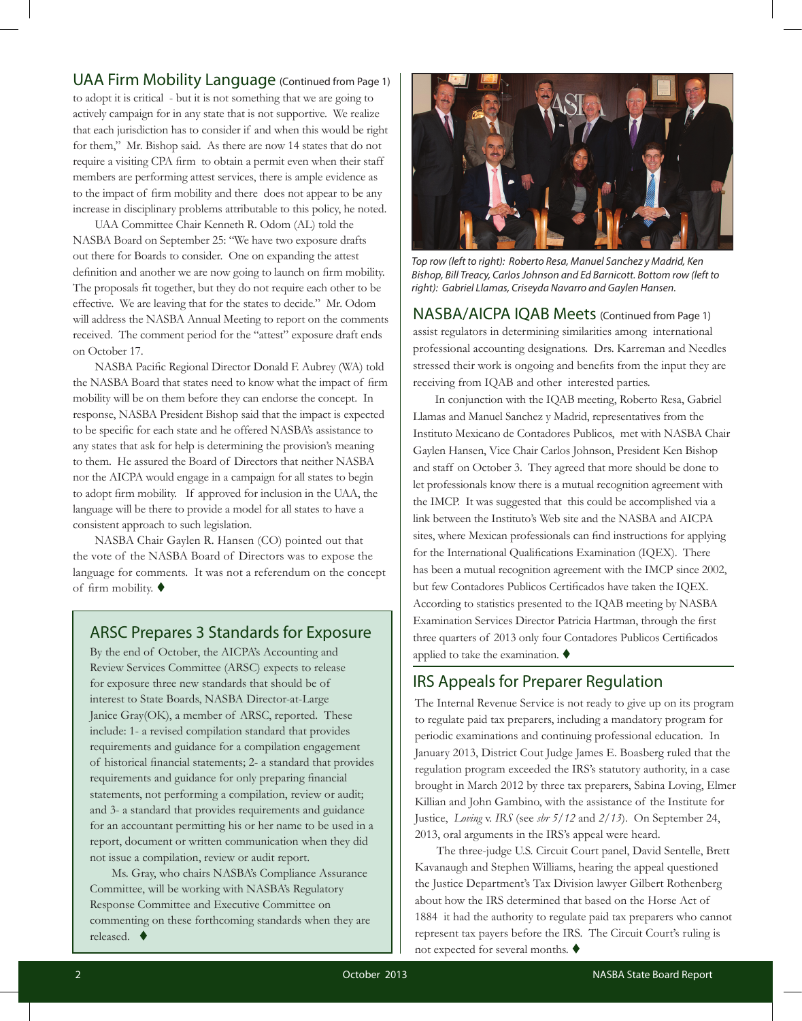#### UAA Firm Mobility Language (Continued from Page 1)

to adopt it is critical - but it is not something that we are going to actively campaign for in any state that is not supportive. We realize that each jurisdiction has to consider if and when this would be right for them," Mr. Bishop said. As there are now 14 states that do not require a visiting CPA firm to obtain a permit even when their staff members are performing attest services, there is ample evidence as to the impact of firm mobility and there does not appear to be any increase in disciplinary problems attributable to this policy, he noted.

UAA Committee Chair Kenneth R. Odom (AL) told the NASBA Board on September 25: "We have two exposure drafts out there for Boards to consider. One on expanding the attest definition and another we are now going to launch on firm mobility. The proposals fit together, but they do not require each other to be effective. We are leaving that for the states to decide." Mr. Odom will address the NASBA Annual Meeting to report on the comments received. The comment period for the "attest" exposure draft ends on October 17.

NASBA Pacific Regional Director Donald F. Aubrey (WA) told the NASBA Board that states need to know what the impact of firm mobility will be on them before they can endorse the concept. In response, NASBA President Bishop said that the impact is expected to be specific for each state and he offered NASBA's assistance to any states that ask for help is determining the provision's meaning to them. He assured the Board of Directors that neither NASBA nor the AICPA would engage in a campaign for all states to begin to adopt firm mobility. If approved for inclusion in the UAA, the language will be there to provide a model for all states to have a consistent approach to such legislation.

NASBA Chair Gaylen R. Hansen (CO) pointed out that the vote of the NASBA Board of Directors was to expose the language for comments. It was not a referendum on the concept of firm mobility.  $\blacklozenge$ 

#### ARSC Prepares 3 Standards for Exposure

By the end of October, the AICPA's Accounting and Review Services Committee (ARSC) expects to release for exposure three new standards that should be of interest to State Boards, NASBA Director-at-Large Janice Gray(OK), a member of ARSC, reported. These include: 1- a revised compilation standard that provides requirements and guidance for a compilation engagement of historical financial statements; 2- a standard that provides requirements and guidance for only preparing financial statements, not performing a compilation, review or audit; and 3- a standard that provides requirements and guidance for an accountant permitting his or her name to be used in a report, document or written communication when they did not issue a compilation, review or audit report.

Ms. Gray, who chairs NASBA's Compliance Assurance Committee, will be working with NASBA's Regulatory Response Committee and Executive Committee on commenting on these forthcoming standards when they are released.  $\blacklozenge$ 



*Top row (left to right): Roberto Resa, Manuel Sanchez y Madrid, Ken Bishop, Bill Treacy, Carlos Johnson and Ed Barnicott. Bottom row (left to right): Gabriel Llamas, Criseyda Navarro and Gaylen Hansen.* 

NASBA/AICPA IQAB Meets (Continued from Page 1) assist regulators in determining similarities among international professional accounting designations. Drs. Karreman and Needles stressed their work is ongoing and benefits from the input they are receiving from IQAB and other interested parties.

In conjunction with the IQAB meeting, Roberto Resa, Gabriel Llamas and Manuel Sanchez y Madrid, representatives from the Instituto Mexicano de Contadores Publicos, met with NASBA Chair Gaylen Hansen, Vice Chair Carlos Johnson, President Ken Bishop and staff on October 3. They agreed that more should be done to let professionals know there is a mutual recognition agreement with the IMCP. It was suggested that this could be accomplished via a link between the Instituto's Web site and the NASBA and AICPA sites, where Mexican professionals can find instructions for applying for the International Qualifications Examination (IQEX). There has been a mutual recognition agreement with the IMCP since 2002, but few Contadores Publicos Certificados have taken the IQEX. According to statistics presented to the IQAB meeting by NASBA Examination Services Director Patricia Hartman, through the first three quarters of 2013 only four Contadores Publicos Certificados applied to take the examination.  $\blacklozenge$ 

#### IRS Appeals for Preparer Regulation

The Internal Revenue Service is not ready to give up on its program to regulate paid tax preparers, including a mandatory program for periodic examinations and continuing professional education. In January 2013, District Cout Judge James E. Boasberg ruled that the regulation program exceeded the IRS's statutory authority, in a case brought in March 2012 by three tax preparers, Sabina Loving, Elmer Killian and John Gambino, with the assistance of the Institute for Justice, *Loving* v. *IRS* (see *sbr 5/12* and *2/13*). On September 24, 2013, oral arguments in the IRS's appeal were heard.

The three-judge U.S. Circuit Court panel, David Sentelle, Brett Kavanaugh and Stephen Williams, hearing the appeal questioned the Justice Department's Tax Division lawyer Gilbert Rothenberg about how the IRS determined that based on the Horse Act of 1884 it had the authority to regulate paid tax preparers who cannot represent tax payers before the IRS. The Circuit Court's ruling is not expected for several months.  $\blacklozenge$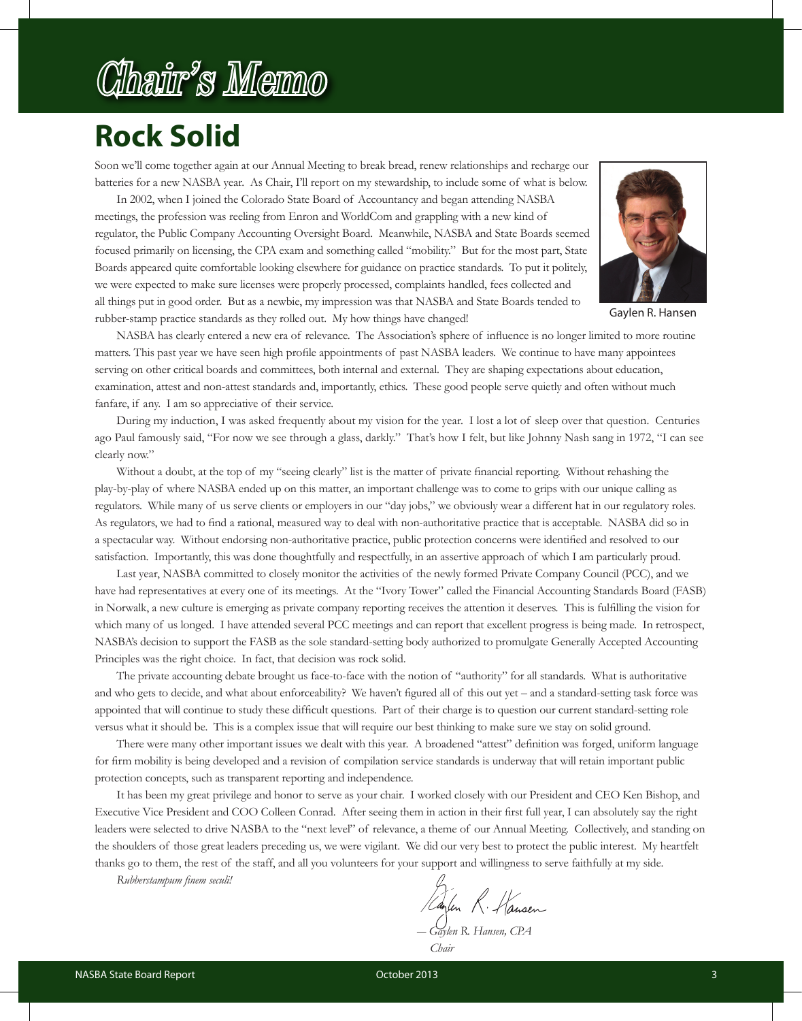# Chair's Memo

## **Rock Solid**

Soon we'll come together again at our Annual Meeting to break bread, renew relationships and recharge our batteries for a new NASBA year. As Chair, I'll report on my stewardship, to include some of what is below.

In 2002, when I joined the Colorado State Board of Accountancy and began attending NASBA meetings, the profession was reeling from Enron and WorldCom and grappling with a new kind of regulator, the Public Company Accounting Oversight Board. Meanwhile, NASBA and State Boards seemed focused primarily on licensing, the CPA exam and something called "mobility." But for the most part, State Boards appeared quite comfortable looking elsewhere for guidance on practice standards. To put it politely, we were expected to make sure licenses were properly processed, complaints handled, fees collected and all things put in good order. But as a newbie, my impression was that NASBA and State Boards tended to rubber-stamp practice standards as they rolled out. My how things have changed!



Gaylen R. Hansen

NASBA has clearly entered a new era of relevance. The Association's sphere of influence is no longer limited to more routine matters. This past year we have seen high profile appointments of past NASBA leaders. We continue to have many appointees serving on other critical boards and committees, both internal and external. They are shaping expectations about education, examination, attest and non-attest standards and, importantly, ethics. These good people serve quietly and often without much fanfare, if any. I am so appreciative of their service.

During my induction, I was asked frequently about my vision for the year. I lost a lot of sleep over that question. Centuries ago Paul famously said, "For now we see through a glass, darkly." That's how I felt, but like Johnny Nash sang in 1972, "I can see clearly now."

Without a doubt, at the top of my "seeing clearly" list is the matter of private financial reporting. Without rehashing the play-by-play of where NASBA ended up on this matter, an important challenge was to come to grips with our unique calling as regulators. While many of us serve clients or employers in our "day jobs," we obviously wear a different hat in our regulatory roles. As regulators, we had to find a rational, measured way to deal with non-authoritative practice that is acceptable. NASBA did so in a spectacular way. Without endorsing non-authoritative practice, public protection concerns were identified and resolved to our satisfaction. Importantly, this was done thoughtfully and respectfully, in an assertive approach of which I am particularly proud.

Last year, NASBA committed to closely monitor the activities of the newly formed Private Company Council (PCC), and we have had representatives at every one of its meetings. At the "Ivory Tower" called the Financial Accounting Standards Board (FASB) in Norwalk, a new culture is emerging as private company reporting receives the attention it deserves. This is fulfilling the vision for which many of us longed. I have attended several PCC meetings and can report that excellent progress is being made. In retrospect, NASBA's decision to support the FASB as the sole standard-setting body authorized to promulgate Generally Accepted Accounting Principles was the right choice. In fact, that decision was rock solid.

The private accounting debate brought us face-to-face with the notion of "authority" for all standards. What is authoritative and who gets to decide, and what about enforceability? We haven't figured all of this out yet – and a standard-setting task force was appointed that will continue to study these difficult questions. Part of their charge is to question our current standard-setting role versus what it should be. This is a complex issue that will require our best thinking to make sure we stay on solid ground.

There were many other important issues we dealt with this year. A broadened "attest" definition was forged, uniform language for firm mobility is being developed and a revision of compilation service standards is underway that will retain important public protection concepts, such as transparent reporting and independence.

It has been my great privilege and honor to serve as your chair. I worked closely with our President and CEO Ken Bishop, and Executive Vice President and COO Colleen Conrad. After seeing them in action in their first full year, I can absolutely say the right leaders were selected to drive NASBA to the "next level" of relevance, a theme of our Annual Meeting. Collectively, and standing on the shoulders of those great leaders preceding us, we were vigilant. We did our very best to protect the public interest. My heartfelt thanks go to them, the rest of the staff, and all you volunteers for your support and willingness to serve faithfully at my side.

*Rubberstampum finem seculi!*

*― Gaylen R. Hansen, CPA*

 *Chair*